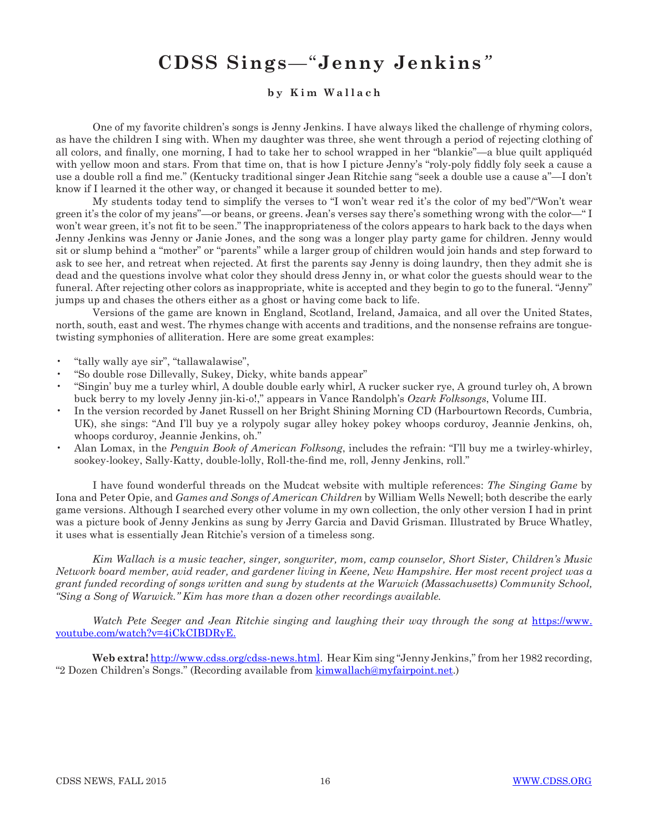## **CDSS Sings***—*"**Jenny Jenkins***"*

## **b y K i m W a l l a c h**

One of my favorite children's songs is Jenny Jenkins. I have always liked the challenge of rhyming colors, as have the children I sing with. When my daughter was three, she went through a period of rejecting clothing of all colors, and finally, one morning, I had to take her to school wrapped in her "blankie"—a blue quilt appliquéd with yellow moon and stars. From that time on, that is how I picture Jenny's "roly-poly fiddly foly seek a cause a use a double roll a find me." (Kentucky traditional singer Jean Ritchie sang "seek a double use a cause a"—I don't know if I learned it the other way, or changed it because it sounded better to me).

My students today tend to simplify the verses to "I won't wear red it's the color of my bed"/"Won't wear green it's the color of my jeans"—or beans, or greens. Jean's verses say there's something wrong with the color—" I won't wear green, it's not fit to be seen." The inappropriateness of the colors appears to hark back to the days when Jenny Jenkins was Jenny or Janie Jones, and the song was a longer play party game for children. Jenny would sit or slump behind a "mother" or "parents" while a larger group of children would join hands and step forward to ask to see her, and retreat when rejected. At first the parents say Jenny is doing laundry, then they admit she is dead and the questions involve what color they should dress Jenny in, or what color the guests should wear to the funeral. After rejecting other colors as inappropriate, white is accepted and they begin to go to the funeral. "Jenny" jumps up and chases the others either as a ghost or having come back to life.

Versions of the game are known in England, Scotland, Ireland, Jamaica, and all over the United States, north, south, east and west. The rhymes change with accents and traditions, and the nonsense refrains are tonguetwisting symphonies of alliteration. Here are some great examples:

- "tally wally aye sir", "tallawalawise",
- "So double rose Dillevally, Sukey, Dicky, white bands appear"
- "Singin' buy me a turley whirl, A double double early whirl, A rucker sucker rye, A ground turley oh, A brown buck berry to my lovely Jenny jin-ki-o!," appears in Vance Randolph's *Ozark Folksongs*, Volume III.
- In the version recorded by Janet Russell on her Bright Shining Morning CD (Harbourtown Records, Cumbria, UK), she sings: "And I'll buy ye a rolypoly sugar alley hokey pokey whoops corduroy, Jeannie Jenkins, oh, whoops corduroy, Jeannie Jenkins, oh."
- Alan Lomax, in the *Penguin Book of American Folksong*, includes the refrain: "I'll buy me a twirley-whirley, sookey-lookey, Sally-Katty, double-lolly, Roll-the-find me, roll, Jenny Jenkins, roll."

I have found wonderful threads on the Mudcat website with multiple references: *The Singing Game* by Iona and Peter Opie, and *Games and Songs of American Children* by William Wells Newell; both describe the early game versions. Although I searched every other volume in my own collection, the only other version I had in print was a picture book of Jenny Jenkins as sung by Jerry Garcia and David Grisman. Illustrated by Bruce Whatley, it uses what is essentially Jean Ritchie's version of a timeless song.

*Kim Wallach is a music teacher, singer, songwriter, mom, camp counselor, Short Sister, Children's Music Network board member, avid reader, and gardener living in Keene, New Hampshire. Her most recent project was a grant funded recording of songs written and sung by students at the Warwick (Massachusetts) Community School, "Sing a Song of Warwick." Kim has more than a dozen other recordings available.*

*Watch Pete Seeger and Jean Ritchie singing and laughing their way through the song at [https://www.](https://www.youtube.com/watch?v=4iCkCIBDRyE.)* [youtube.com/watch?v=4iCkCIBDRyE.](https://www.youtube.com/watch?v=4iCkCIBDRyE.)

**Web extra!** <http://www.cdss.org/cdss-news.html>. Hear Kim sing "Jenny Jenkins," from her 1982 recording, "2 Dozen Children's Songs." (Recording available from [kimwallach@myfairpoint.net](mailto:kimwallach@myfairpoint.net).)